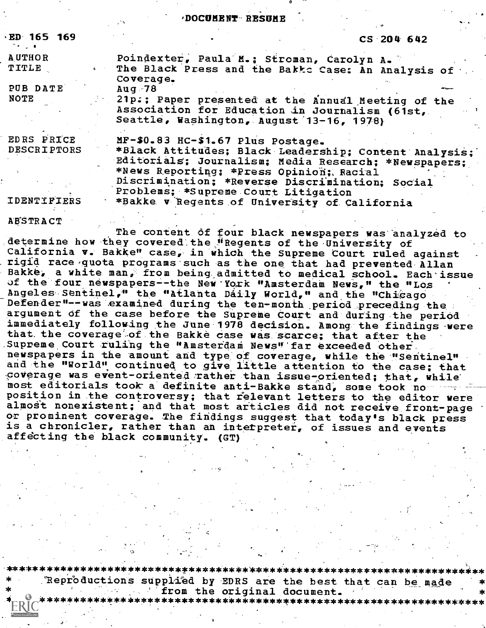#### ,DOCUMENT-RESOME `

| <b>ED 165 169</b>                        |                                                                                                                                                                                                                                                                                                                                          | $CS$ 204 642 |
|------------------------------------------|------------------------------------------------------------------------------------------------------------------------------------------------------------------------------------------------------------------------------------------------------------------------------------------------------------------------------------------|--------------|
| <b>AUTHOR</b><br><b>TITLE</b>            | Poindexter, Paula M.; Stroman, Carolyn A.<br>The Black Press and the Bakke Case: An Analysis of<br>Coverage.                                                                                                                                                                                                                             |              |
| PUB DATE<br>NOTE                         | $Auq$ 78<br>21p.; Paper presented at the Annual Meeting of the<br>Association for Education in Journalism (61st,<br>Seattle, Washington, August 13-16, 1978)                                                                                                                                                                             |              |
| EDRS PRICE<br>DESCRIPTORS<br>IDENTIFIERS | $MF-$0.83$ HC-\$1.67 Plus Postage.<br>*Black Attitudes; Black Leadership; Content Analysis;<br>Editorials; Journalism; Media Research; *Newspapers;<br>*News Reporting; *Press Opinion; Racial<br>Discrimination; *Reverse Discrimination; Social<br>Problems; *Supreme Court Litigation<br>*Bakke v Regents of University of California |              |

A'B'STRACT

The content of four black newspapers was analyzed to determine how they covered the "Regents of the University of California v. Bakke" case, in which the Supreme Court ruled against rigid race quota programs such as the one that had prevented Allan Bakke, a white man, from being admitted to medical school. Each issue of the four newspapers--the New York "Amsterdam News," the "Los Angeles Sentinel," the "Atlanta Daily World," and the "Chicago Defender"--was examined during the ten-month period preceding the ...<br>argument of the case before the Supreme Court and during the period immediately following the June 1978 decision. Among the findings were that the coverage of the Bakke case was scarce; that after the Supreme Court ruling the "Amsterdam News" far exceeded other. newspapers in the amount and type of coverage, while the "Sentinel" and the "World" continued to give little attention to the case; that coverage was event-oriented rather than issue-oriented; that, while most editorials took a definite anti-Bakke stand, some took no position in the controversy; that relevant letters to the editor were almost nonexistent; and that most articles did not receive front-page or prominent coverage. The findings suggest that today's black press is a chronicler, rather than an interpreter, of issues and events affecting the black community. (GT)

,. \*\*\*\*\*\*\*\*\*\*\*\*\*\*\*\*\*\*\*\*\*\*\*\*\*\*\*\*\*\*\*\*\*\*\*\*\*\*\*\*\*\*\*\*\*\*\*\*\*\*\*\*\*\*\*\*\*\*\*\*\*\*\*\*\*\*\*\*\*\*\*

\* "Reproductions supplied by EDRS are the best that can be\_made \* \* ''from the original document. \* \*\*\*\*\*\*\*\*\*\*\*\*\*\*\*\*\*\*\*\*\*\*\*\*\*\*\*\*\*\*\*\*\*\*\*\*\*\*\*\*\*\*\*\*\*\*\*\*\*\*\*\*\*\*\*\*\*\*\*\*\*\*\*\*\*\*\*\*\*\*\*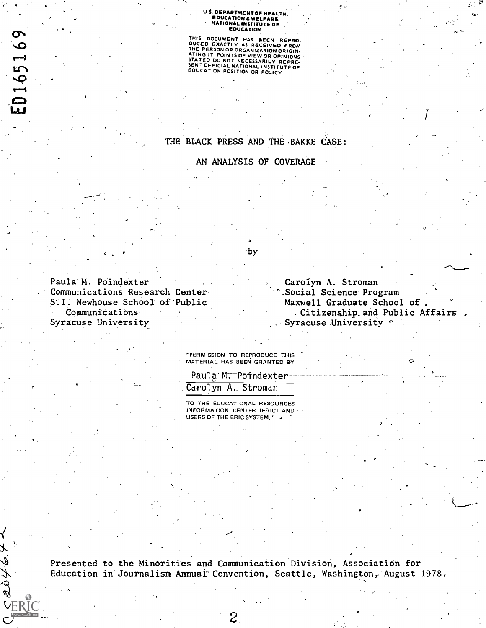# U.S. DEPARTMENT OF HEALTH, EDUCATION IL WELFARE NATIONAL INSTITUTE OF . EDUCATION

THIS DOCUMENT HAS BEEN REPRO-<br>OUCED EXACTLY AS RECEIVED FROM<br>THE PERSON OR ORGANIZATION ORIGIN-<br>ATING IT POINTS OF VIEW OR OPINIONS<br>SENTOFFICIAL NATIONAL INSTITUTE OF<br>SENTOFFICIAL NATIONAL INSTITUTE OF<br>EOUCATION POSITION O

### THE BLACK PRESS AND THE BAKKE CASE:

AN ANALYSIS OF COVERAGE

by

Paula M. Poindexter Communications Research Center S.I. Newhouse School of Public Communications Syracuse University

**VERIC** 

Ł  $\hat{\mathscr{L}}$ 

ED165169

 $\sigma$  and the set of  $\sigma$ 

Carolyn A. Stroman Social Science Program Maxwell Graduate School of , Citizenship and Public Affairs Syracuse University  $\cdot$ 

 $\sigma$  and  $\sigma$ 

 $\mathbf{y} = \mathbf{y}$ 

"PERMISSION TO REPRODUCE TN'S MATERIAL,HAS. BEEN GRANTED BY

Paula M: Poindexter Carolyn A, Stroman

TO THE EDUCATIONAL RESOURCES INFORMATION CENTER (ERIC) AND USERS OF THE ERIC SYSTEM,"

Presented to the Minorities and Communication Division, Association for Education in Journalism Annual Convention, Seattle, Washington, August 1978.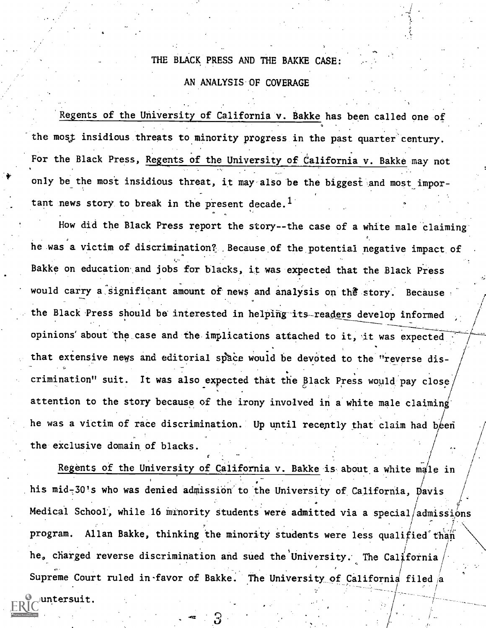### THE BLACK PRESS AND THE BAKKE CASE:

#### AN ANALYSIS-OF COVERAGE

Regents of the University of California v. Bakke has been called one of the most insidious threats to minority progress in the past quarter century. For the Black Press, Regents of the University of California v. Bakke may not only be the most insidious threat, it may also be the biggest and most important news story to break in the present decade.<sup>1</sup>

How did the Black Press report the story--the case of a white male claiming he was a victim of discrimination?, .Because of the potential negative impact of Bakke on education. and jobs for blacks, it was expected that the Black Press would carry a significant amount of news and analysis on the story. Because the Black Press should be interested in helping its-readers develop informed opinions' about the case and the implications attached to it, it was expected that extensive news and editorial space would be devoted to the "reverse discrimination" suit. It was also expected that the Black Press would pay close, attention to the story because of the irony involved in a white male claiming' he was a victim of race discrimination. Up until recently that claim had been  $1 - \lambda$ . / the exclusive domain of blacks.

Regents of the University of California v. Bakke is about a white male in  $\int$ ,  $\int$ ,  $\int$ ,  $\int$ ,  $\int$ ,  $\int$ ,  $\int$ ,  $\int$ ,  $\int$ ,  $\int$ ,  $\int$ ,  $\int$ ,  $\int$ ,  $\int$ ,  $\int$ ,  $\int$ ,  $\int$ ,  $\int$ ,  $\int$ ,  $\int$ ,  $\int$ ,  $\int$ ,  $\int$ ,  $\int$ ,  $\int$ ,  $\int$ ,  $\int$ ,  $\int$ ,  $\int$ ,  $\int$ ,  $\int$ ,  $\int$ ,  $\int$ ,  $\int$ ,  $\int$ ,  $\int$ ,  $\int$ , , his mid-30's who was denied admission to the University of California, Davis  $\qquad/$ <sup>i</sup> P Medical School, while 16 minority students were admitted via a special/admissions program. Allan Bakke, thinking the minority students were less qualified than he, charged reverse discrimination and sued the University. The California  $\hspace{0.1cm}/\hspace{0.1cm}$ Supreme Court ruled in-favor of Bakke. The University of California filed  $/\mathbf{a}$ untersuit.

/ i.e. the set of  $\mathcal{F}$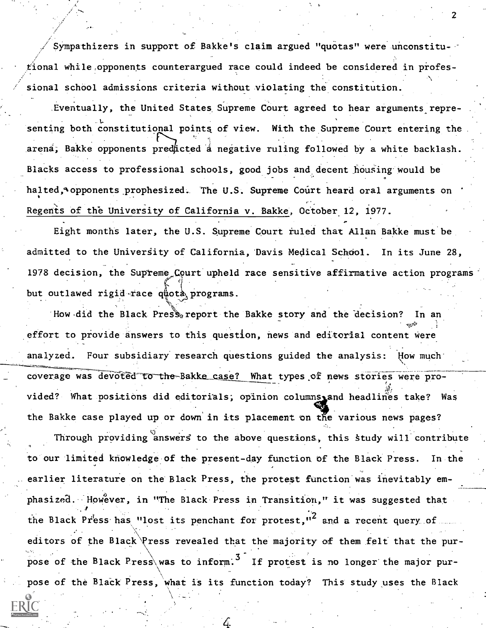Sympathizers in support of Bakke's claim argued "quotas" were unconstitutional while, opponents counterargued race could indeed be considered in professional school admissions criteria without violating the constitution.

2

Eventually, the United States Supreme Court agreed to hear arguments representing both constitutional points of view. With the Supreme Court entering the arena; Bakke opponents predicted a negative ruling followed by a white backlash. Blacks access to professional schools, good jobs and decent housing would be halted, Opponents prophesized. The U.S. Supreme Court heard oral arguments on Regents of the University of California v. Bakke, October 12, 1977.

Eight months later, the U.S. Supreme Court ruled that Allan Bakke must be admitted to the University of California, Davis Medical School. In its June 28, 1978 decision, the Supreme Court upheld race sensitive affirmative action programs but outlawed rigid race  $q\text{``pota}$$  programs.

How did the Black Press report the Bakke story and the decision? In an effort to provide answers to this question, news and editorial content were analyzed. Four subsidiary research questions guided the analysis: flow much' coverage was devoted to the Bakke case? What types of news stories were provided? What positions did editorials; opinion columns, and headlines take? Was the Bakke case played up or down in its placement on the various news pages?

Through providing answers to the above questions, this study will contribute to our limited knowledge of the-present-day function. Of the Black Press. In the earlier literature on the Black Press, the protest function was inevitably emphasized. However, in "The Black Press in Transition," it was suggested that the Black Press has "lost its penchant for protest,"<sup>2</sup> and a recent query of editors of the Black Press revealed that the majority of them felt that the purpose of the Black Press was to inform.<sup>3</sup> If protest is no longer the major purpose of the BlaCk Press, what is its function today? This study uses the Black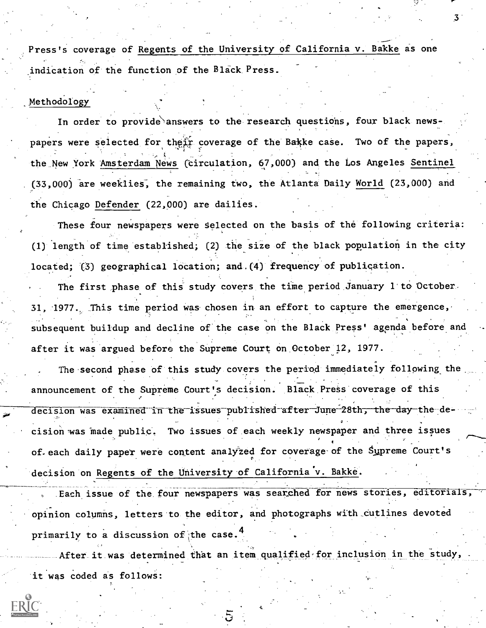Press's coverage of Regents of the University of California v. Bakke as one indication of the function of the Black Press.

### Methodology

In order to provide answers to the research questions, four black newspapers were selected for their coverage of the Bakke case. Two of the papers, the New York Amsterdam News (circulation, 67,000) and the Los Angeles Sentinel (33,000) are weeklies; the remaining two, the Atlanta Daily World (23,000) and the Chicago Defender (22,000) are dailies.

These four newspapers were selected on the basis of the following criteria: (1) length of time established; (2) the size of the black population in the city located; (3) geographical location; and.(4) frequency of publiqation.

The first phase of this study covers the time period January 1 to October. 31, 1977. This time period was chosen in an effort to capture the emergence, subsequent buildup and decline of the case on the Black Press' agenda before and after it was argued before the Supreme Court on October12, 1977.

The second phase of this study covers the period immediately following the announcement of the Supreme Court's decision. Black Press coverage of this decision was examined in the issues published after June 28th, the day the-decision was made public. Two issues of each weekly newspaper and three issues of.each daily paper were content analyzed for coverage-of the Supreme Court's  $\mathfrak{g}_{\mathbb{C}}$ decision on Regents of the University of California'v. Bakke.

Each issue of the four newspapers was searched for news stories, editorials opinion columns, letters to the editor, and photographs with cutlines devoted primarily to a discussion of the case.

After it was determined that an item qualified for inclusion in the study, it was coded as follows:

3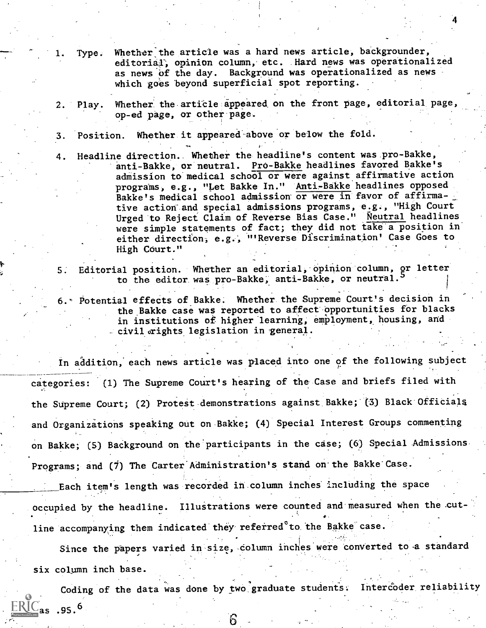- Type. Whether the article was a hard news article, backgrounder, editorial; opinion column, etc. Hard news was operationalized as news of the day. Background was operationalized as news which goes beyond superficial spot reporting.
- 2. Play. Whether the article appeared on the front page, editorial page, op-ed page, or other page.
- 3. Position. Whether it appeared above or below the fold.
- 4. Headline direction.. Whether the headline's content was pro-Bakke, anti-Bakke, or neutral. Pro-Bakke headlines favored Bakke's admission to medical school or were against affirmative action programs, e.g., "Let Bakke In." Anti-Bakke headlines opposed Bakke's medical school admission or were in favor of affirmative action' and special admissions programs, e.g., "High Court Urged to Reject Claim of Reverse Bias Case." Neutral headlines were simple statements of fact; they did not take a position in either direction; e.g.; "'Reverse Discrimination' Case Goes to High Court."
- 5. Editorial position. Whether an editorial, opinion column, or letter to the editor was pro-Bakke, anti-Bakke, or neutral.
- 6.' Potential effects of Bakke. Whether. the Supreme Court's decision in the Bakke case was reported to affect opportunities for blacks in institutions of higher learning, employment, housing, and  $-$  civil  $\sigma$ ights legislation in general.

In addition, each news article was placed into one of the following subject categories: (1) The Supreme Court's hearing of the Case and briefs filed with the Supreme Court; (2) Protest demonstrations against Bakke; (3) Black Officials and Organizations speaking out on Bakke; (4) Special Interest Groups commenting on Bakke; (5) Background on the participants in the case; (6) Special Admissions Programs; and (7) The Carter Administration's stand on the Bakke Case.

Each item's length was recorded in.column inches' including the space occupied by the headline. Illustrations were counted and measured when the cut- $\bullet$  . The contract of  $\bullet$ line accompanying them indicated they referred to the Bakke case.

Since the papers varied in size, column inches were converted to a standard six column inch base.

Coding of the data was done by two graduate students. Intercoder reliability  $\text{RIC}_{\text{as}}$  .95.<sup>6</sup>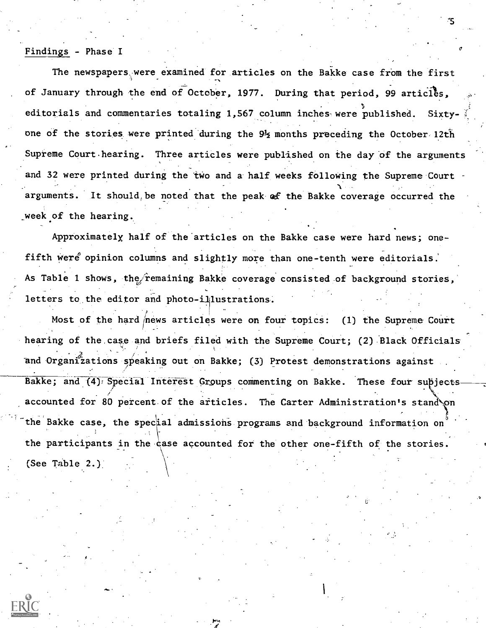#### Findings - Phase I

The newspapers were examined for articles on the Bakke case from the first of January through the end of October, 1977. During that period, 99 articles, editorials and commentaries totaling 1,567 column inches were published. Sixtyone of the stories were printed during the 9<sup>1</sup>2 months preceding the October 12th Supreme Court hearing. Three articles were published on the day of the arguments and 32 were printed during the two and a half weeks following the Supreme Court , and the contribution of the contribution of  $\Delta$  and  $\Delta$  and  $\Delta$ arguments. It should, be noted that the peak of the Bakke coverage occurred the \_week of the hearing.

Approximately half of the articles on the Bakke case were hard news; onefifth were opinion columns and slightly more than one-tenth were editorials. As Table 1 shows, the femaining Bakke coverage consisted of background stories, letters to the editor and photo-ililustrations.

Most of the hard news articles were on four topics: (1) the Supreme Court hearing of the case and briefs filed with the Supreme Court; (2) Black Officials and Organizations speaking out on Bakke; (3) Protest demonstrations against Bakke; and (4) Special Interest Groups commenting on Bakke. These four supjects / accounted for 80 percent of the articles. The Carter Administration's stand on , the state of  $\mathbf{f}$  and  $\mathbf{f}$  and  $\mathbf{f}$ the Bakke case, the special admissions programs and background information on the participants in the case accounted for the other one-fifth of the stories. (See Table 2.)

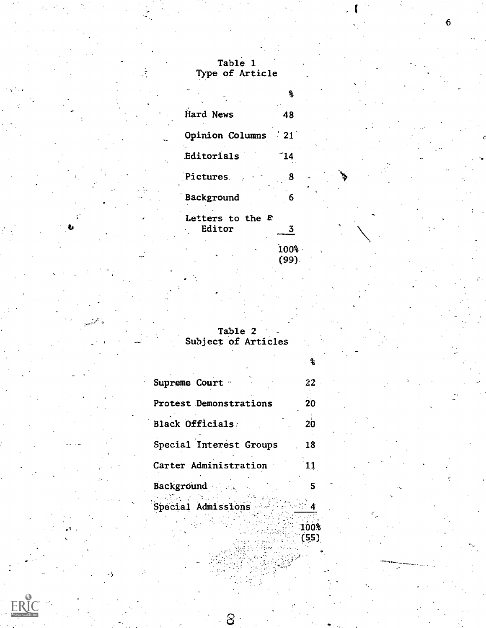## Table 1 Type of Article

| Hard News                    | 48           |  |  |
|------------------------------|--------------|--|--|
| Opinion Columns              | $\degree$ 21 |  |  |
| Editorials                   | 14 َ         |  |  |
| Pictures.                    | 8            |  |  |
| Background                   | 6            |  |  |
| Letters to the $E$<br>Editor |              |  |  |

-100%.

(99).

ዱ

 $\frac{100\%}{(55)}$ 

6

Table 2 Subject of Articles

| Supreme Court -         | 22. |  |
|-------------------------|-----|--|
| Protest Demonstrations  | 20  |  |
| Black Officials         | 20  |  |
| Special Interest Groups | 18  |  |
| Carter Administration   |     |  |
| Background              |     |  |
| Special Admissions      |     |  |

 $\mathcal{S}% _{M_{1},M_{2}}^{\alpha,\beta}(\varepsilon)$ 

 $ERIC$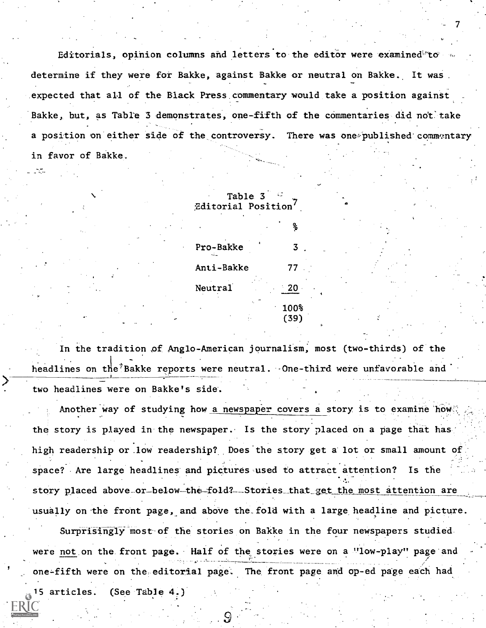Editorials, opinion columns and letters to the editor were examined to determine if they were for Bakke, against Bakke or neutral on Bakke. It was expected that all of the Black Press commentary would take a position against Bakke, but, as Table 3 demonstrates, one-fifth of the commentaries did not take a position on either side of the controversy. There was one published commentary in favor of Bakke.

7

| Table 3<br>Editorial Position |              |  |
|-------------------------------|--------------|--|
|                               | ℁            |  |
| Pro-Bakke                     | 3            |  |
| Anti-Bakke                    | 77           |  |
| Neutral                       | - 20         |  |
|                               | 100%<br>(39) |  |

In the tradition of Anglo-American journalism, most (two-thirds) of the headlines on the Bakke reports were neutral. One-third were unfavorable and two headlines were on Bakke's side.

Another way of studying how a newspaper covers a story is to examine how the story is played in the newspaper. Is the story placed on a page that has high readership or low readership? Does the story get a lot or small amount of space? Are large headlines' and pictures used to attract attention? Is the story placed above\_or\_below-the-fold?--Stories\_that get the most attention are usually on the front page, and above the fold with a large headline and picture.

Surprisingly most of the stories on Bakke in the four newspapers studied were not on the front page. Half of the stories were on a "low-play" page and one-fifth were on the editorial page. The, front page and op-ed page each had 15 articles. (See Table 4.)

. .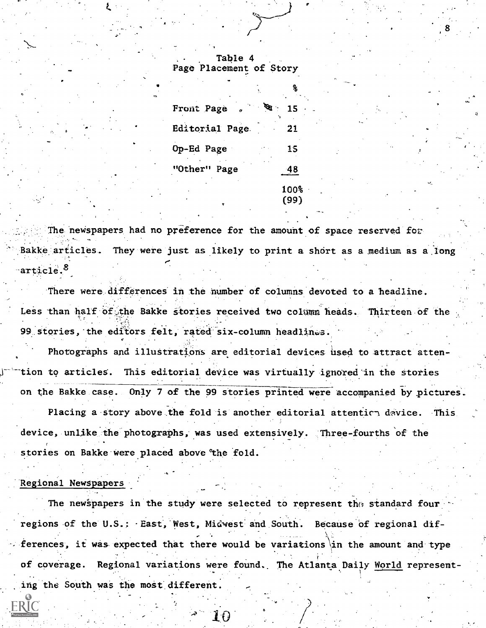, Table 4 Page Placement of Story

7.

| Front Page<br>o | 15    |
|-----------------|-------|
| Editorial Page  | 21    |
| Op-Ed Page      | 15    |
| "Other" Page    | $-48$ |
|                 | 100%  |
| ۰               | (99)  |

The newspapers had no preference for the amount of space reserved for Bakke articles. They were just as likely to print a short as a medium as a long  $\cdot$ article.

There were differences in the humber of columns devoted to a headline. Less than half of the Bakke stories received two column heads. Thirteen of the 99 stories, the editors felt, rated six-column headlines.

Photographs and illustrations are editorial devices used to attract attention to articles. This editorial device was virtually ignored in the stories on the Bakke case. Only 7 of the 99 stories printed were accompanied by pictures.

Placing a story above the fold is another editorial attentics device. This device, unlike the photographs, was used extensively. Three-fourths of the stories on Bakke were placed above the fold.

#### Regional Newspapers

राट

The newspapers in the study were selected to represent the standard four regions of the U.S.: East, West, Midwest and South. Because of regional differences, it was expected that there would be variations\in the amount and type of coverage. Regional variations were found. The Atlanta Daily World representing the South was the most different.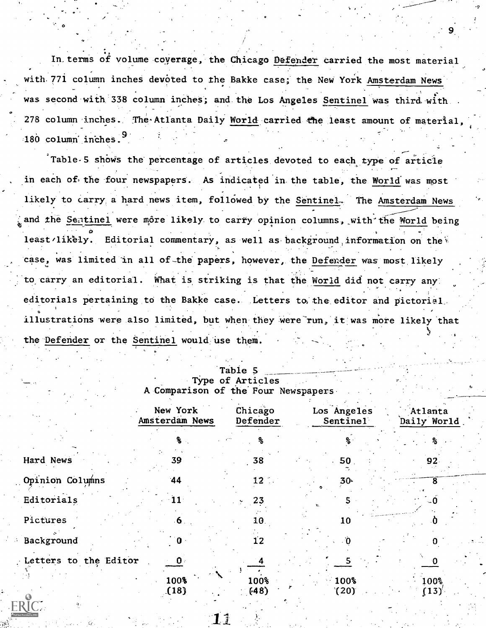In.terms of volume coverage, the Chicago Defender carried the most material with 771 column inches devoted to the Bakke case; the New York Amsterdam News was second with 338 column inches; and the Los Angeles Sentinel was third with. 278 column inches. The Atlanta Daily World carried the least amount of material  $180$  column inches.<sup>3</sup>

9

Table-5 shows the percentage of articles devoted to each type of article in each of the four newspapers. As indicated in the table, the World was most likely to carry a hard news item, followed by the Sentinel. The Amsterdam News and the Sentinel were môre likely to carry opinion columns, with the World being least/likely. Editorial commentary, as well as background information on the case, was limited in all of the papers, however, the Defender was most likely to carry an editorial. What is striking is that the World did not carry any editorials pertaining to the Bakke case. Letters to the editor and pictorial illustrations were also limited, but when they were run, it was more likely that  $J_{\rm{max}}$  . The set of  $J_{\rm{max}}$ the Defender or the Sentinel would use them.

|                       | New York<br>Amsterdam News | Chicago<br>Defender | Los Angeles<br>Sentinel | Atlanta<br>Daily World |
|-----------------------|----------------------------|---------------------|-------------------------|------------------------|
|                       |                            | ዱ                   | ℁                       |                        |
| Hard News             | 39.                        | 38                  | 50                      | 92                     |
| Opinion Columns       | 44                         | $12$ .              | $30-$                   |                        |
| Editorials            | 11                         | 23                  |                         |                        |
| Pictures              | 6.                         | 10.                 | 10                      |                        |
| Background            | $\mathbf 0$                | 12                  |                         |                        |
| Letters to the Editor | $\mathbf{0}$ .             |                     |                         |                        |
|                       | 100%<br>(18)               | 100%<br>(48)        | 100%<br>(20)            | 100%<br>(13)'          |

### Table 5 Type of Articles A Comparison of the'Four Newspapers

 $\circ$  and  $\circ$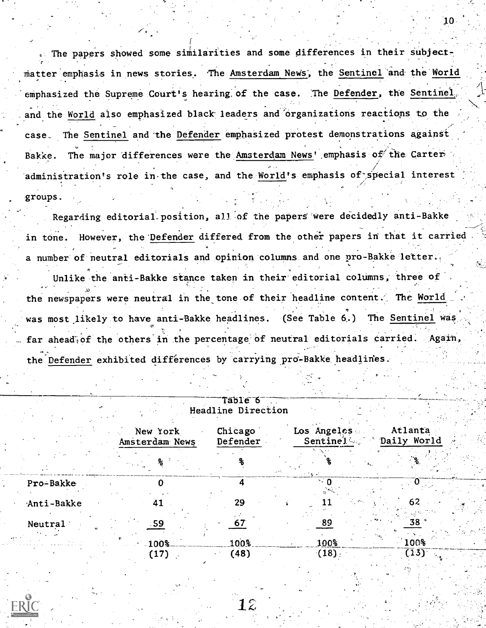<sup>e</sup> The papers showed some similarities and some differences in their Subject matter emphasis in news stories. The <u>Amsterdam News</u>, the <u>Sentinel</u> and the <u>World</u> emphasized the Supreme Court's hearing of the case. The Defender, the Sentinel and the World also emphasized black leaders and'organizations reactions to the case. The Sentinel and 'the Defender emphasized protest demonstrations Against Bakke. The major differences were the Amsterdam News' emphasis of the Carter / . . . . . administration's role in the case, and the World's emphasis of special interest the  $\blacksquare$ groups.

Regarding editorial position, all of the papers were decidedly anti-Bakke in tone. However, the Defender differed from the other papers in that it carried a number of neutral editorials and opinion columns and one pro-Bakke letter..

Unlike the anti-Bakke stance taken in their editorial columns, three of the newspapers were neutral in the tone of their headline content. The World was most likely to have anti-Bakke headlines. (See Table 6.) The Sentinel was far ahead of the others in the percentage of neutral editorials carried. Again, the Defender exhibited differences by carrying pro-Bakke headlines.

|            |                            | Table 6<br>Headline Direction |                         |                        |
|------------|----------------------------|-------------------------------|-------------------------|------------------------|
|            | New York<br>Amsterdam News | Chicago<br>Defender           | Los Angeles<br>Sentinel | Atlanta<br>Daily World |
|            |                            |                               | ಿ ಎನ                    |                        |
| Pro-Bakke  |                            |                               |                         |                        |
| Anti-Bakke | 41                         | 29                            |                         | 62                     |
| Neutral    | 59                         |                               | 89.                     |                        |
|            | 100%                       | 100%                          | 100%                    | 100%                   |
|            | (17)                       | (48)                          | (18)                    | (13)                   |



film and the second second second.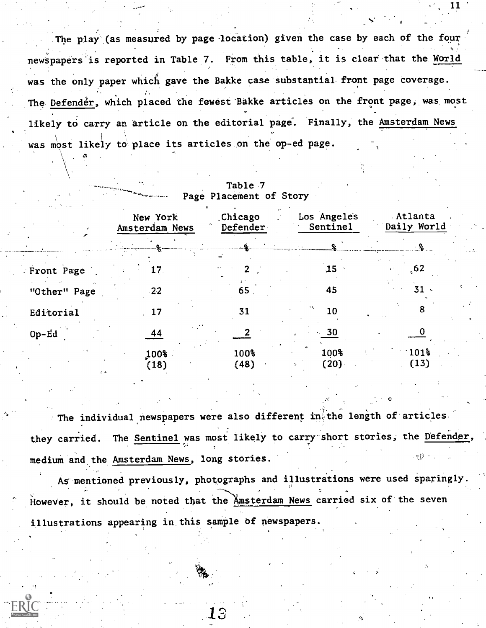The play (as measured by page-location) given the case by each of the four newspapers is reported in Table 7. From this table, it is clear that the World was the only paper which gave the Bakke case substantial front page coverage. The Defender, which placed the fewest Bakke articles on the front page, was most likely to carry an article on the editorial page. Finally, the Amsterdam News was most likely to place its articles on the op-ed page. 1

| $\cdots$<br>$\cdots$ | New York<br>Amsterdam News | Chicago<br>Defender | Los Angeles<br>Sentinel | Atlanta<br>Daily World   |  |
|----------------------|----------------------------|---------------------|-------------------------|--------------------------|--|
|                      |                            |                     |                         |                          |  |
| Front Page           | 17                         |                     | ,15                     | .62                      |  |
| "Other" Page         | $-22$                      | 65                  | 45                      | 31                       |  |
| Editorial            |                            | 31                  | 10                      |                          |  |
| $Op-Ed$              | 44                         |                     | 30                      |                          |  |
| $\mathcal{L}$ . As   | 100%<br>(18)               | 100%<br>(48)        | 100%<br>(20)            | 101 <sup>3</sup><br>(13) |  |

Table 7 Page Placement of Story

The individual newspapers were also different in the length of articles they carried. The Sentinel was most likely to carry short stories, the Defender, medium and the Amsterdam News, long stories.

As mentioned previously, photographs and illustrations were used sparingly. However, it should be noted that the Amsterdam News carried six of the seven illustrations appearing in, this sample of newspapers.

1

O<sub>ran</sub> Constantinople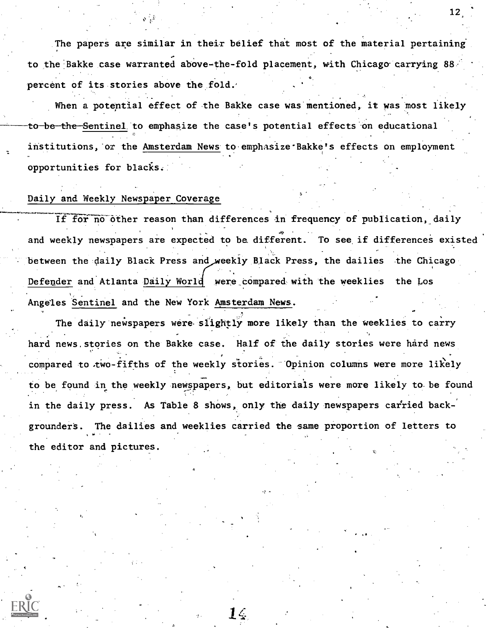The papers are similar in their belief that most of the material pertaining to the Bakke case warranted above-the-fold placement, with Chicago carrying 88 percent of its stories above the fold.'

When a potential effect of the Bakke case was mentioned, it was most likely to be the Sentinel to emphasize the case's potential effects on educational institutions, or the Amsterdam News to emphasize Bakke's effects on employment opportunities for blacks.

### Daily and Weekly Newspaper Coverage

If for no other reason than differences in frequency of publication, daily and weekly newspapers are expected to be different. To see if differences existed between the daily Black Press and weekly Black Press, the dailies the Chicago Defender and Atlanta Daily World were compared with the weeklies the Los Angeles Sentinel and the New York Amsterdam News.

The daily newspapers were slightly more likely than the weeklies to carry hard news. stories on the Bakke case. Half of the daily stories were hard news compared to two-fifths of the weekly stories. Opinion columns were more likely to be found in the weekly newspapers, but editorials were more likely to be found in the daily press. As Table 8 shows, only the daily newspapers carried backgrounder's. The dailies and weeklies carried the same proportion of letters to the editor and pictures.

14

12,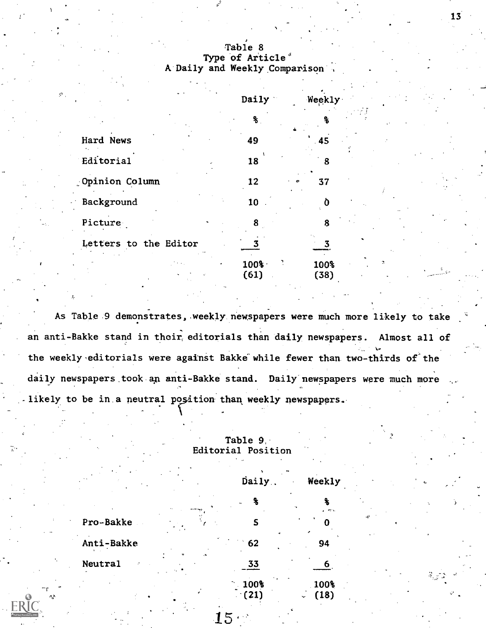### Table 8 Type of Article<sup>s</sup> A Daily and Weekly Comparison

|                       | Daily           | Weekly            |
|-----------------------|-----------------|-------------------|
|                       | ℁               |                   |
| Hard News             | 49              | 45                |
| Editorial             | 18              | 8                 |
| Opinion Column        | 12              | 37                |
| Background            | 10              |                   |
| Picture               | 8               | 8                 |
| Letters to the Editor |                 |                   |
|                       | $100\%$<br>(61) | 100%<br>п<br>(38) |

As Table 9 demonstrates, weekly newspapers were much more likely to take an anti-Bakke stand in their, editorials than daily newspapers. Almost all of the weekly editorials were against Bakke while fewer than two-thirds of the daily newspapers took an anti-Bakke stand. Daily newspapers were much more likely to be in a neutral position than weekly newspapers.

### Table 9, Editorial Position

| ٠.             | Daily.                            | Weekly                   |     |
|----------------|-----------------------------------|--------------------------|-----|
|                | ቈ                                 | Ł<br>$\sigma_{\rm{min}}$ |     |
| Pro-Bakke      | S                                 |                          | ۸Ņ, |
| Anti-Bakke     | 62                                | 94                       |     |
| <b>Neutral</b> | 33                                | 6                        |     |
|                | 100%<br>$\left  21 \right\rangle$ | 100%<br>(18)             |     |

 $15 \cdot$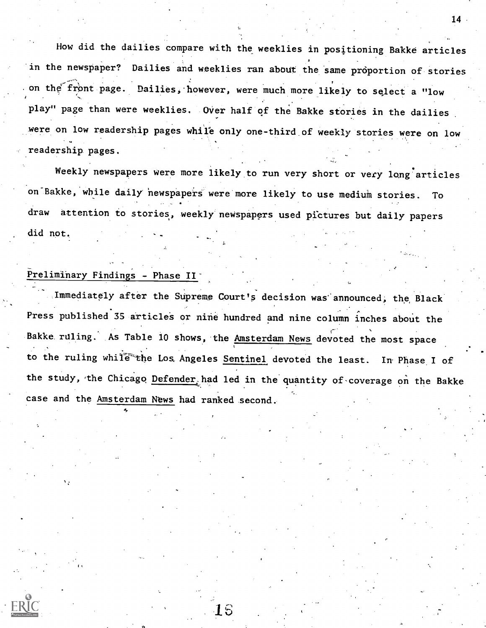How did the dailies compare with the weeklies in positioning Bakke articles in the newspaper? Dailies and weeklies ran about the same proportion of stories on the front page. Dailies, however, were much more likely to select a "low play" page than were weeklies. Over half of the Bakke stories in the dailies were on low readership pages while only one-third of weekly stories were on low readership pages.

Weekly newspapers were more likely to run very short or very long articles on Bakke, while daily newspapers were more likely to use medium stories. To draw attention to stories, weekly newspapers used pictures but daily papers did not.

# Preliminary Findings - Phase II<sup>-</sup>

Immediately after the Supreme Court's decision was'announced, the Black Press published 35 articles or nine hundred and nine column inches about the Bakke ruling. As Table 10 shows, the Amsterdam News devoted the most space to the ruling while the Los Angeles Sentinel devoted the least. In Phase I of the study, the Chicago Defender, had led in the quantity of coverage on the Bakke case and the Amsterdam News had ranked second.

16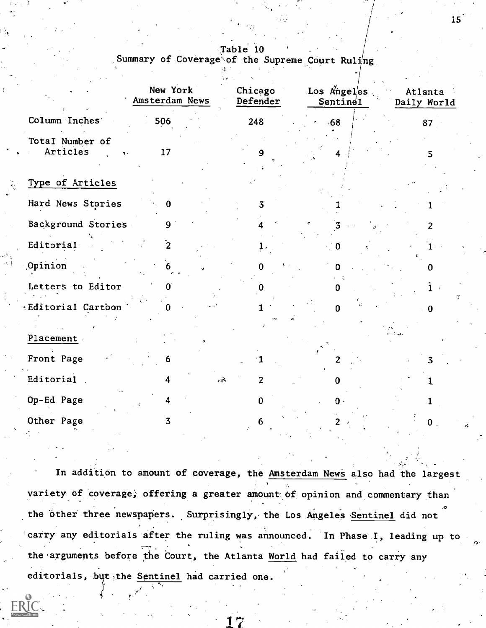.Table 10 Summary of Coverage of the Supreme Court  $Ruiing$ 

|                                                     | New York<br>Amsterdam News | Chicago<br>Defender | Los Angeles.<br>Sentine1 | Atlanta<br>Daily World |
|-----------------------------------------------------|----------------------------|---------------------|--------------------------|------------------------|
| Column Inches                                       | 506                        | 248                 | $-68$                    | 87                     |
| Total Number of<br>Articles<br>$\ddot{\phantom{a}}$ | 17                         |                     |                          | 5.                     |
| Type of Articles                                    |                            |                     |                          |                        |
| Hard News Stories                                   | n                          | 3                   |                          |                        |
| Background Stories                                  | 9 <sup>°</sup>             |                     |                          | 2                      |
| Editorial                                           | $\overline{2}$             |                     | 0                        |                        |
| Opinion                                             | 6                          | 0                   |                          | o                      |
| Letters to Editor                                   |                            | 0                   | 0                        | $\hat{1}$<br>T         |
| *Editorial Cartoon                                  |                            |                     | ∩                        | 0                      |
| Placement.                                          |                            |                     |                          |                        |
| Front Page                                          | 6                          |                     |                          | 3.                     |
| Editorial                                           | $\sqrt{2}$<br>4            | $\overline{2}$      | 0                        | 1                      |
| Op-Ed Page                                          |                            | $\mathbf{0}$        | $\mathbf{0}$ .           |                        |
| Other Page                                          | 3.                         |                     |                          | $\mathbf{0}$           |
|                                                     |                            |                     |                          |                        |

In addition to amount of coverage, the Amsterdam News also had the largest variety of coverage, offering a greater amount of opinion and commentary than the other three newspapers. Surprisingly, the Los Angeles Sentinel did not carry any editorials after the ruling was announced. In Phase I, leading up to the arguments before the Court, the Atlanta World had failed to carry any editorials, but the Sentinel had carried one.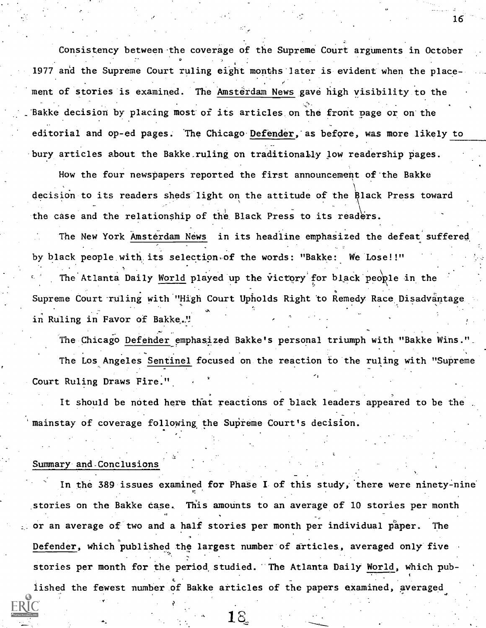Consistency between the coverage of the Supreme Court arguments in October , 1977 and the Supreme Court ruling eight months later is evident when the place ment of stories is examined. The Amsterdam News gave high visibility to the Bakke decision by placing most of its articles on the front page or on the editorial and op-ed pages. The Chicago Defender, as before, was more likely to bury articles about the Bakke ruling on traditionally low readership pages.

How the four newspapers reported the first announcement of the Bakke decision to its readers sheds light on the attitude of the Black Press toward the case and the relationship of the Black Press to its readers.

The New York Amsterdam News in its headline emphasized the defeat suffered by black people with its selection of the words: "Bakke: We Lose!!" The Atlanta Daily World played up the victory for black people in the Supreme Court ruling with "High Court Upholds Right to Remedy Race Disadvantage in Ruling in Favor of Bakke."

The Chicago Defender emphasized Bakke's personal triumph with "Bakke Wins."\_ The Los Angeles Sentinel focused on the reaction to the ruling with "Supreme Court Ruling Draws Fire.".

It should be noted here that reactions of black leaders appeared to be the mainstay of coverage following the Supreme Court's decision.

#### Summary and-Conclusions

In the 389 issues examined for Phase I of this study, there were ninety-nine stories on the Bakke case. This amounts to an average of 10 stories per month or an average of two and a half stories per month per individual paper. The Defender, which published the largest number of articles, averaged only five stories per month for the period, studied. The Atlanta Daily World, which published the fewest number of Bakke articles of the papers examined, averaged

1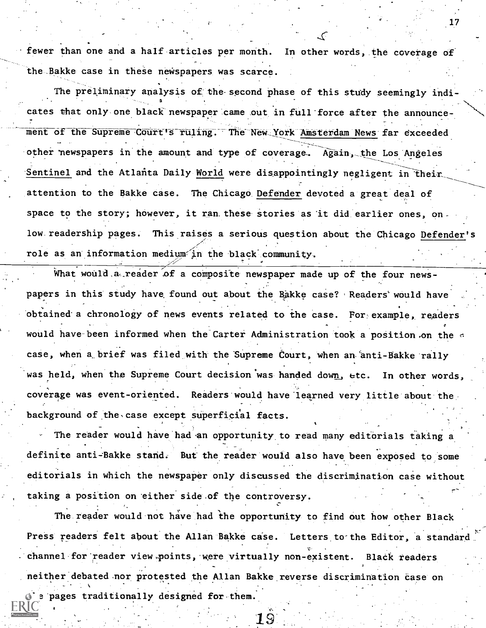fewer than one and a half articles per month. In other words, the coverage of the Bakke case in these newspapers was scarce.

The preliminary analysis of the second phase of this study seemingly indicates that only one black newspaper came out in full force after the announcement of the Supreme Court's ruling. The New York Amsterdam News far exceeded other newspapers in the amount and type of coverage. Again, the Los Angeles Sentinel and the Atlanta Daily World were disappointingly negligent in their attention to the Bakke case. The Chicago. Defender devoted a great deal of space to the story; however, it ran these stories as it did earlier ones, on low readership pages. This raises a serious question about the Chicago Defender's role as an information medium in the black community.

What would, a reader of a composite newspaper made up of the four newspapers in this study have found out about the Bakke case? Readers' would have obtained a chronology of news events related to the case. For example, readers would have been informed when the Carter Administration took a position on the c case, when a brief was filed with the Supreme Court, when an anti-Bakke rally was held, when the Supreme Court decision was handed down, etc. In other words, coverage was event-oriented. Readers would have'learned very little about the background of the case except superficial facts.

The reader would have had an opportunity to read many editorials taking a definite anti-Bakke stand. But the reader would also have been exposed to some editorials in which the newspaper only discussed the discrimination case without taking a position on 'either side.of the controversy.

The reader would not have had the opportunity to find out how other Black Press readers felt about the Allan Bakke case. Letters to the Editor, a standard channel for reader view points, were virtually non-existent. Black readers neither debated nor protested the Allan Bakke reverse discrimination case on pages traditionally designed for them.

1S.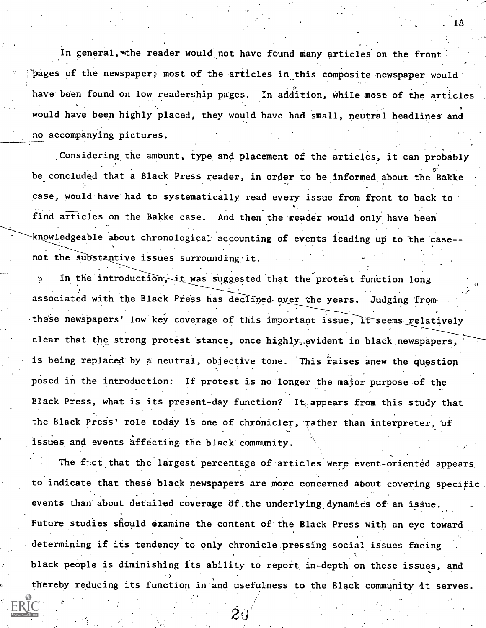In general, the reader would not have found many articles on the front Thages of the newspaper; most of the articles in this composite newspaper would have been found on low readership pages. In addition, while most of the articles would have been highly placed, they would have had small, neutral headlines and no accompanying pictures.

Considering the amount, type and placement of the articles, it can probably be concluded that a Black Press reader, in order to be informed about the Bakke case, would have had to systematically read every issue from front to back to find articles on the Bakke case. And then the reader would only have been knowledgeable about chronological accounting of events leading up to the case-not the substantive issues surrounding it.

In the introduction, it was suggested that the protest function long associated with the Black Press has declined-over the years. Judging from these newspapers' low key coverage of this important issue, it seems relatively clear that the strong protest stance, once highly<sub>v</sub>evident in black newspapers, is being replaced by a neutral, objective tone. This raises anew the question posed in the introduction: If protest is no longer the major purpose of the Black Press, what is its present-day function? It appears from this study that the Black Press' role today is one of chronicler, rather than interpreter, of issues and events affecting the black community.

The fact that the largest percentage of articles were event-oriented appears to indicate that these black newspapers are more concerned about covering specific events than about detailed coverage of the underlying dynamics of an issue. Future studies should examine the content of the Black Press with an eye toward determining if its tendency to only chronicle pressing social issues facing black people is diminishing its ability to report in-depth on these issues, and thereby reducing its function in and usefulness to the Black community it serves.

 $\dot{20}$ 

. 18